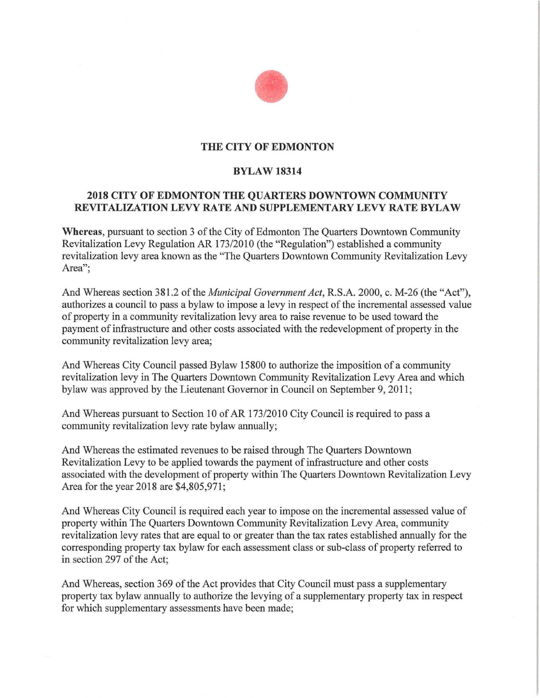

## **THE CITY OF EDMONTON**

## **BYLAW 18314**

## **2018 CITY OF EDMONTON THE QUARTERS DOWNTOWN COMMUNITY REVITALIZATION LEVY RATE AND SUPPLEMENTARY LEVY RATE BYLAW**

**Whereas,** pursuant to section 3 of the City of Edmonton The Quarters Downtown Community Revitalization Levy Regulation AR 173/2010 (the "Regulation") established a community revitalization levy area known as the "The Quarters Downtown Community Revitalization Levy Area":

And Whereas section 381.2 of the *Municipal Government Act*, R.S.A. 2000, c. M-26 (the "Act"), authorizes a council to pass a bylaw to impose a levy in respect of the incremental assessed value of property in a community revitalization levy area to raise revenue to be used toward the payment of infrastructure and other costs associated with the redevelopment of property in the community revitalization levy area;

And Whereas City Council passed Bylaw 15800 to authorize the imposition of a community revitalization levy in The Quarters Downtown Community Revitalization Levy Area and which bylaw was approved by the Lieutenant Governor in Council on September 9, 2011;

And Whereas pursuant to Section 10 of AR 173/2010 City Council is required to pass a community revitalization levy rate bylaw annually;

And Whereas the estimated revenues to be raised through The Quarters Downtown Revitalization Levy to be applied towards the payment of infrastructure and other costs associated with the development of property within The Quarters Downtown Revitalization Levy Area for the year 2018 are \$4,805,971;

And Whereas City Council is required each year to impose on the incremental assessed value of property within The Quarters Downtown Community Revitalization Levy Area, community revitalization levy rates that are equal to or greater than the tax rates established annually for the corresponding property tax bylaw for each assessment class or sub-class of property referred to in section 297 of the Act;

And Whereas, section 369 of the Act provides that City Council must pass a supplementary property tax bylaw annually to authorize the levying of a supplementary property tax in respect for which supplementary assessments have been made;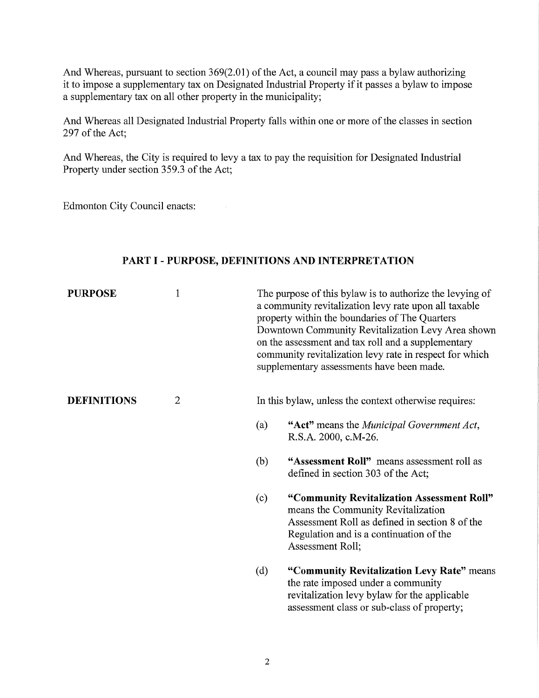And Whereas, pursuant to section 369(2.01) of the Act, a council may pass a bylaw authorizing it to impose a supplementary tax on Designated Industrial Property if it passes a bylaw to impose a supplementary tax on all other property in the municipality;

And Whereas all Designated Industrial Property falls within one or more of the classes in section 297 of the Act;

And Whereas, the City is required to levy a tax to pay the requisition for Designated Industrial Property under section 359.3 of the Act;

Edmonton City Council enacts:

## **PART I- PURPOSE, DEFINITIONS AND INTERPRETATION**

| <b>PURPOSE</b>     | $\mathbf{1}$ | The purpose of this bylaw is to authorize the levying of<br>a community revitalization levy rate upon all taxable<br>property within the boundaries of The Quarters<br>Downtown Community Revitalization Levy Area shown<br>on the assessment and tax roll and a supplementary<br>community revitalization levy rate in respect for which<br>supplementary assessments have been made. |                                                                                                                                                                                                   |  |
|--------------------|--------------|----------------------------------------------------------------------------------------------------------------------------------------------------------------------------------------------------------------------------------------------------------------------------------------------------------------------------------------------------------------------------------------|---------------------------------------------------------------------------------------------------------------------------------------------------------------------------------------------------|--|
| <b>DEFINITIONS</b> | $\mathbf{2}$ |                                                                                                                                                                                                                                                                                                                                                                                        | In this bylaw, unless the context otherwise requires:                                                                                                                                             |  |
|                    |              | (a)                                                                                                                                                                                                                                                                                                                                                                                    | "Act" means the Municipal Government Act,<br>R.S.A. 2000, c.M-26.                                                                                                                                 |  |
|                    |              | (b)                                                                                                                                                                                                                                                                                                                                                                                    | "Assessment Roll" means assessment roll as<br>defined in section 303 of the Act;                                                                                                                  |  |
|                    |              | (c)                                                                                                                                                                                                                                                                                                                                                                                    | "Community Revitalization Assessment Roll"<br>means the Community Revitalization<br>Assessment Roll as defined in section 8 of the<br>Regulation and is a continuation of the<br>Assessment Roll; |  |
|                    |              | (d)                                                                                                                                                                                                                                                                                                                                                                                    | "Community Revitalization Levy Rate" means<br>the rate imposed under a community<br>revitalization levy bylaw for the applicable<br>assessment class or sub-class of property;                    |  |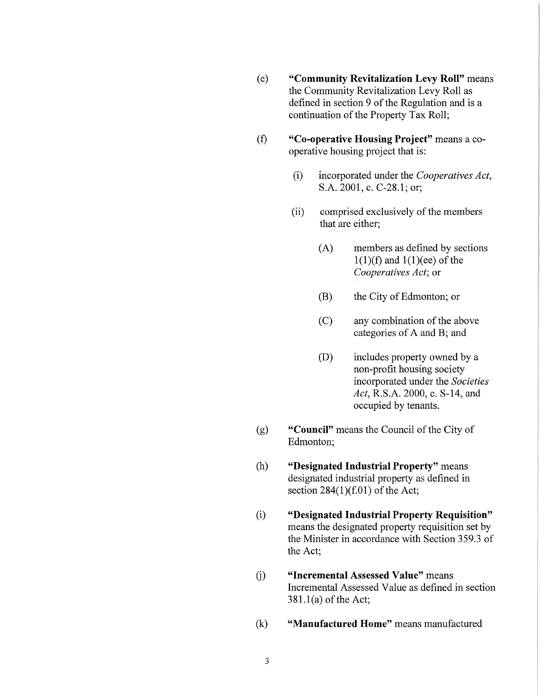- ( e) **"Community Revitalization Levy Roll"** means the Community Revitalization Levy Roll as defined in section 9 of the Regulation and is a continuation of the Property Tax Roll;
- (f) **"Co-operative Housing Project"** means a cooperative housing project that is:
	- (i) incorporated under the *Cooperatives Act,*  S.A. 2001, c. C-28.1; or;
	- (ii) comprised exclusively of the members that are either;
		- (A) members as defined by sections  $1(1)(f)$  and  $1(1)(ee)$  of the *Cooperatives Act;* or
		- (B) the City of Edmonton; or
		- (C) any combination of the above categories of A and B; and
		- (D) includes property owned by a non-profit housing society incorporated under the *Societies Act,* R.S.A. 2000, c. S-14, and occupied by tenants.
- (g) **"Council"** means the Council of the City of Edmonton;
- (h) **"Designated Industrial Property"** means designated industrial property as defined in section  $284(1)(f.01)$  of the Act;
- (i) **"Designated Industrial Property Requisition"**  means the designated property requisition set by the Minister in accordance with Section 359.3 of the Act;
- G) **"Incremental Assessed Value"** means Incremental Assessed Value as defined in section 381.l(a) of the Act;
- (k) **"Manufactured Home"** means manufactured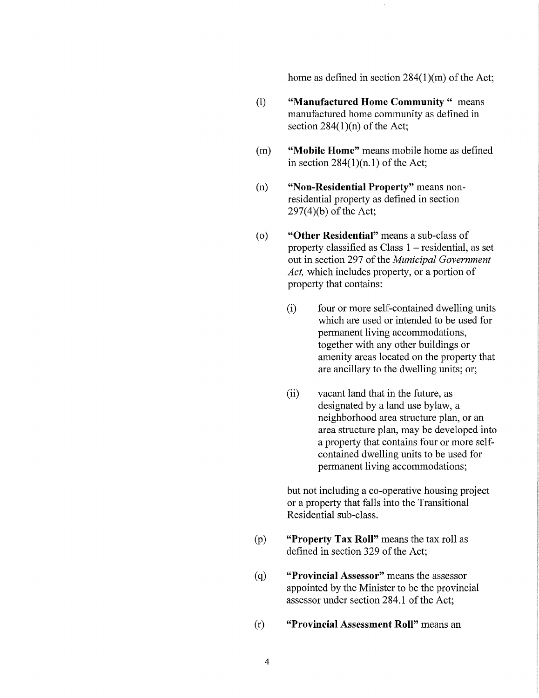home as defined in section 284(1)(m) of the Act;

- (1) **"Manufactured Home Community** " means manufactured home community as defined in section  $284(1)(n)$  of the Act;
- (m) **"Mobile Home"** means mobile home as defined in section  $284(1)(n.1)$  of the Act;
- (n) **"Non-Residential Property"** means nonresidential property as defined in section 297(4)(b) of the Act;
- ( o) **"Other Residential"** means a sub-class of property classified as Class 1 - residential, as set out in section 297 of the *Municipal Government Act,* which includes property, or a portion of property that contains:
	- (i) four or more self-contained dwelling units which are used or intended to be used for permanent living accommodations, together with any other buildings or amenity areas located on the property that are ancillary to the dwelling units; or;
	- (ii) vacant land that in the future, as designated by a land use bylaw, a neighborhood area structure plan, or an area structure plan, may be developed into a property that contains four or more selfcontained dwelling units to be used for permanent living accommodations;

but not including a co-operative housing project or a property that falls into the Transitional Residential sub-class.

- (p) **"Property Tax Roll"** means the tax roll as defined in section 329 of the Act;
- ( q) **"Provincial Assessor"** means the assessor appointed by the Minister to be the provincial assessor under section 284.1 of the Act;
- (r) **"Provincial Assessment Roll"** means an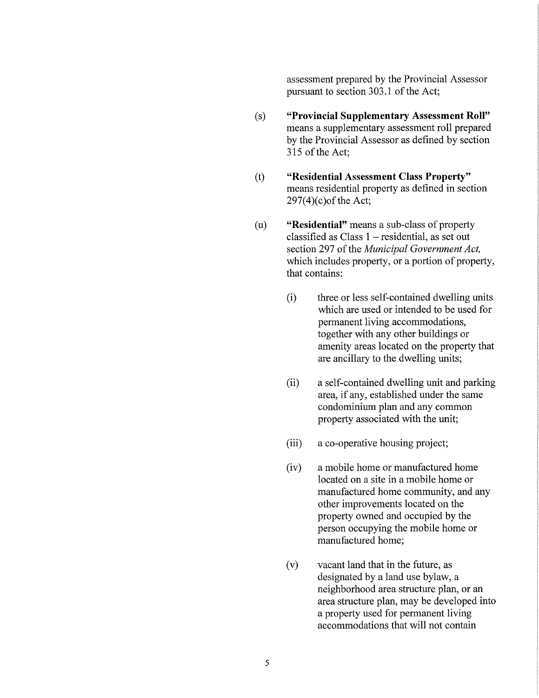assessment prepared by the Provincial Assessor pursuant to section 303.1 of the Act;

- (s) **"Provincial Supplementary Assessment Roll"**  means a supplementary assessment roll prepared by the Provincial Assessor as defined by section 315 of the Act;
- (t) **"Residential Assessment Class Property"**  means residential property as defined in section  $297(4)$ (c) of the Act;
- ( u) **"Residential"** means a sub-class of property classified as Class  $1 -$  residential, as set out section 297 of the *Municipal Government Act,*  which includes property, or a portion of property, that contains:
	- (i) three or less self-contained dwelling units which are used or intended to be used for permanent living accommodations, together with any other buildings or amenity areas located on the property that are ancillary to the dwelling units;
	- (ii) a self-contained dwelling unit and parking area, if any, established under the same condominium plan and any common property associated with the unit;
	- (iii) a co-operative housing project;
	- (iv) a mobile home or manufactured home located on a site in a mobile home or manufactured home community, and any other improvements located on the property owned and occupied by the person occupying the mobile home or manufactured home;
	- (v) vacant land that in the future, as designated by a land use bylaw, a neighborhood area structure plan, or an area structure plan, may be developed into a property used for permanent living accommodations that will not contain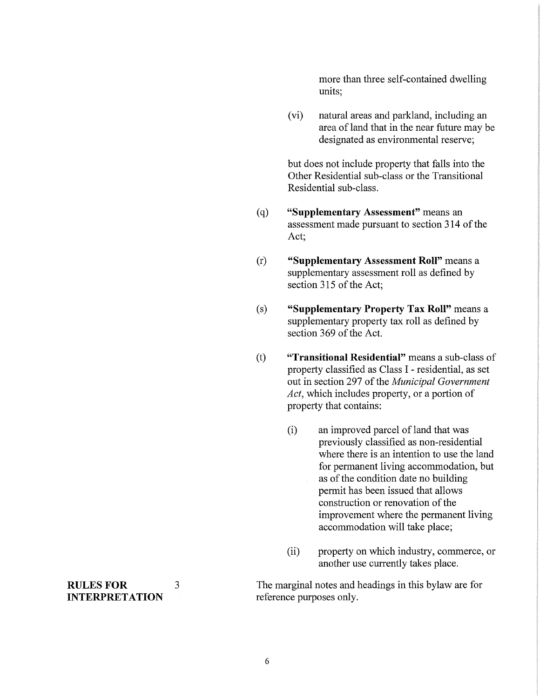more than three self-contained dwelling units;

(vi) natural areas and parkland, including an area of land that in the near future may be designated as environmental reserve;

but does not include property that falls into the Other Residential sub-class or the Transitional Residential sub-class.

- ( q) **"Supplementary Assessment"** means an assessment made pursuant to section 314 of the Act;
- (r) **"Supplementary Assessment Roll"** means a supplementary assessment roll as defined by section 315 of the Act;
- (s) **"Supplementary Property Tax Roll"** means a supplementary property tax roll as defined by section 369 of the Act.
- (t) **"Transitional Residential"** means a sub-class of property classified as Class I - residential, as set out in section 297 of the *Municipal Government Act,* which includes property, or a portion of property that contains:
	- (i) an improved parcel of land that was previously classified as non-residential where there is an intention to use the land for permanent living accommodation, but as of the condition date no building permit has been issued that allows construction or renovation of the improvement where the permanent living accommodation will take place;
	- (ii) property on which industry, commerce, or another use currently takes place.

The marginal notes and headings in this bylaw are for reference purposes only.

# **RULES FOR** 3 **INTERPRETATION**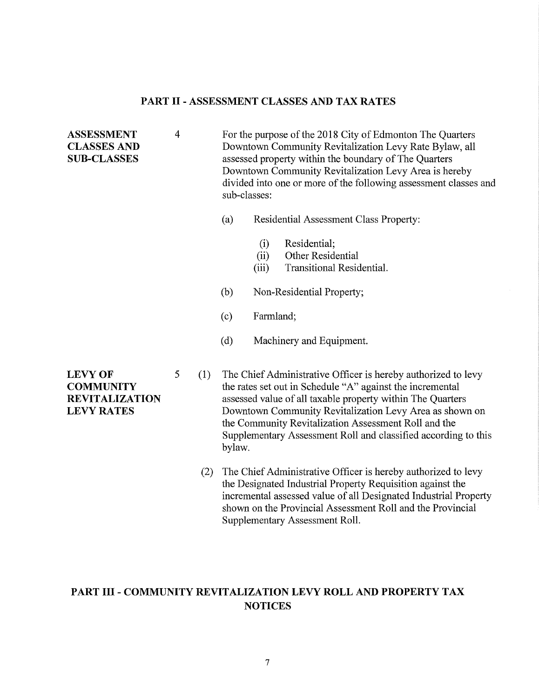## **PART II -ASSESSMENT CLASSES AND TAX RATES**

**ASSESSMENT CLASSES AND SUB-CLASSES**  4 LEVY OF 5 **COMMUNITY REVITALIZATION LEVY RATES**  For the purpose of the 2018 City of Edmonton The Quarters Downtown Community Revitalization Levy Rate Bylaw, all assessed property within the boundary of The Quarters Downtown Community Revitalization Levy Area is hereby divided into one or more of the following assessment classes and sub-classes: (a) Residential Assessment Class Property: (i) Residential; (ii) Other Residential (iii) Transitional Residential. (b) Non-Residential Property; (c) Farmland; (d) Machinery and Equipment. (1) The Chief Administrative Officer is hereby authorized to levy the rates set out in Schedule "A" against the incremental assessed value of all taxable property within The Quarters Downtown Community Revitalization Levy Area as shown on the Community Revitalization Assessment Roll and the

> incremental assessed value of all Designated Industrial Property shown on the Provincial Assessment Roll and the Provincial Supplementary Assessment Roll.

(2) The Chief Administrative Officer is hereby authorized to levy the Designated Industrial Property Requisition against the

Supplementary Assessment Roll and classified according to this

# **PART III - COMMUNITY REVITALIZATION LEVY ROLL AND PROPERTY TAX NOTICES**

7

bylaw.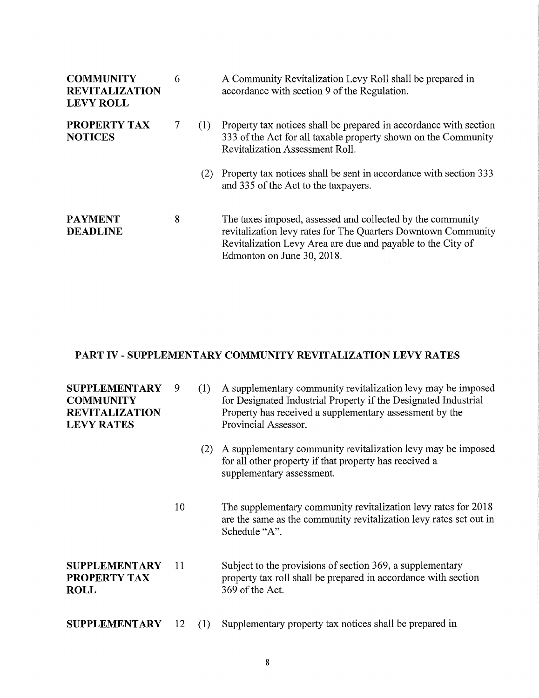| <b>COMMUNITY</b><br><b>REVITALIZATION</b><br><b>LEVY ROLL</b> | 6 |     | A Community Revitalization Levy Roll shall be prepared in<br>accordance with section 9 of the Regulation.                                                                                                                |
|---------------------------------------------------------------|---|-----|--------------------------------------------------------------------------------------------------------------------------------------------------------------------------------------------------------------------------|
| PROPERTY TAX<br><b>NOTICES</b>                                |   | (1) | Property tax notices shall be prepared in accordance with section<br>333 of the Act for all taxable property shown on the Community<br><b>Revitalization Assessment Roll.</b>                                            |
|                                                               |   | (2) | Property tax notices shall be sent in accordance with section 333<br>and 335 of the Act to the taxpayers.                                                                                                                |
| <b>PAYMENT</b><br><b>DEADLINE</b>                             | 8 |     | The taxes imposed, assessed and collected by the community<br>revitalization levy rates for The Quarters Downtown Community<br>Revitalization Levy Area are due and payable to the City of<br>Edmonton on June 30, 2018. |

# **PART IV - SUPPLEMENTARY COMMUNITY REVITALIZATION LEVY RATES**

| <b>SUPPLEMENTARY</b><br><b>COMMUNITY</b><br><b>REVITALIZATION</b><br><b>LEVY RATES</b> | 9<br>(1) |     | A supplementary community revitalization levy may be imposed<br>for Designated Industrial Property if the Designated Industrial<br>Property has received a supplementary assessment by the<br>Provincial Assessor. |
|----------------------------------------------------------------------------------------|----------|-----|--------------------------------------------------------------------------------------------------------------------------------------------------------------------------------------------------------------------|
|                                                                                        |          | (2) | A supplementary community revitalization levy may be imposed<br>for all other property if that property has received a<br>supplementary assessment.                                                                |
|                                                                                        | 10       |     | The supplementary community revitalization levy rates for 2018<br>are the same as the community revitalization levy rates set out in<br>Schedule "A".                                                              |
| <b>SUPPLEMENTARY</b><br>PROPERTY TAX<br><b>ROLL</b>                                    | 11       |     | Subject to the provisions of section 369, a supplementary<br>property tax roll shall be prepared in accordance with section<br>369 of the Act.                                                                     |
| <b>SUPPLEMENTARY</b>                                                                   | 12       | (1) | Supplementary property tax notices shall be prepared in                                                                                                                                                            |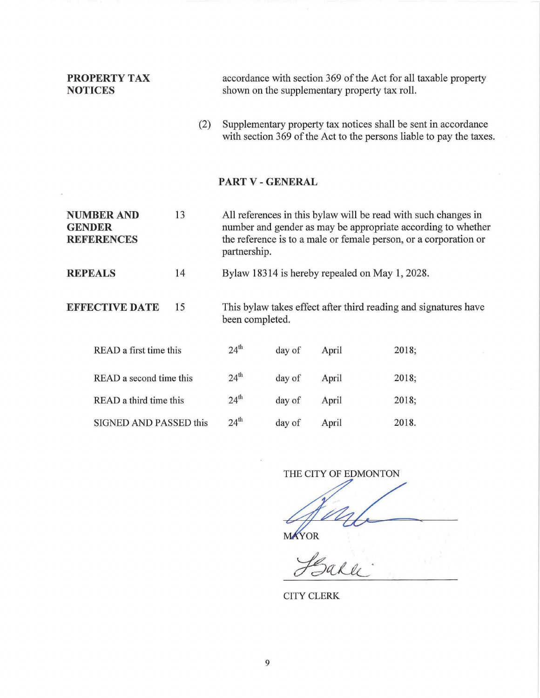| PROPERTY TAX<br><b>NOTICES</b>                          |    |     | accordance with section 369 of the Act for all taxable property<br>shown on the supplementary property tax roll.                                                                                                   |
|---------------------------------------------------------|----|-----|--------------------------------------------------------------------------------------------------------------------------------------------------------------------------------------------------------------------|
|                                                         |    | (2) | Supplementary property tax notices shall be sent in accordance<br>with section 369 of the Act to the persons liable to pay the taxes.                                                                              |
|                                                         |    |     | <b>PART V - GENERAL</b>                                                                                                                                                                                            |
| <b>NUMBER AND</b><br><b>GENDER</b><br><b>REFERENCES</b> | 13 |     | All references in this bylaw will be read with such changes in<br>number and gender as may be appropriate according to whether<br>the reference is to a male or female person, or a corporation or<br>partnership. |
| <b>REPEALS</b>                                          | 14 |     | Bylaw 18314 is hereby repealed on May 1, 2028.                                                                                                                                                                     |
| <b>EFFECTIVE DATE</b>                                   | 15 |     | This by law takes effect after third reading and signatures have<br>been completed.                                                                                                                                |

| READ a first time this  | $24^{\text{th}}$ | day of | April | 2018; |
|-------------------------|------------------|--------|-------|-------|
| READ a second time this | $24^{\text{th}}$ | day of | April | 2018; |
| READ a third time this  | 24 <sup>th</sup> | day of | April | 2018; |
| SIGNED AND PASSED this  | 24 <sup>th</sup> | day of | April | 2018. |

THE CITY OF EDMONTON MAYOR

 $\mathcal{J}_{\epsilon}^{\ell}$ rakle

CITY CLERK